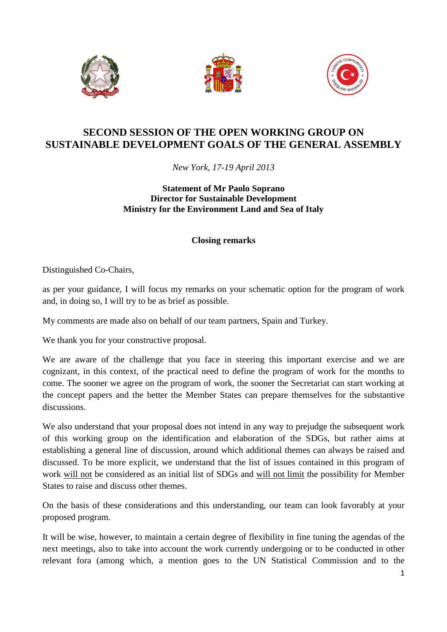





## **SECOND SESSION OF THE OPEN WORKING GROUP ON SUSTAINABLE DEVELOPMENT GOALS OF THE GENERAL ASSEMBLY**

*New York, 17-19 April 2013* 

## **Statement of Mr Paolo Soprano Director for Sustainable Development Ministry for the Environment Land and Sea of Italy**

## **Closing remarks**

Distinguished Co-Chairs,

as per your guidance, I will focus my remarks on your schematic option for the program of work and, in doing so, I will try to be as brief as possible.

My comments are made also on behalf of our team partners, Spain and Turkey.

We thank you for your constructive proposal.

We are aware of the challenge that you face in steering this important exercise and we are cognizant, in this context, of the practical need to define the program of work for the months to come. The sooner we agree on the program of work, the sooner the Secretariat can start working at the concept papers and the better the Member States can prepare themselves for the substantive discussions.

We also understand that your proposal does not intend in any way to prejudge the subsequent work of this working group on the identification and elaboration of the SDGs, but rather aims at establishing a general line of discussion, around which additional themes can always be raised and discussed. To be more explicit, we understand that the list of issues contained in this program of work will not be considered as an initial list of SDGs and will not limit the possibility for Member States to raise and discuss other themes.

On the basis of these considerations and this understanding, our team can look favorably at your proposed program.

It will be wise, however, to maintain a certain degree of flexibility in fine tuning the agendas of the next meetings, also to take into account the work currently undergoing or to be conducted in other relevant fora (among which, a mention goes to the UN Statistical Commission and to the